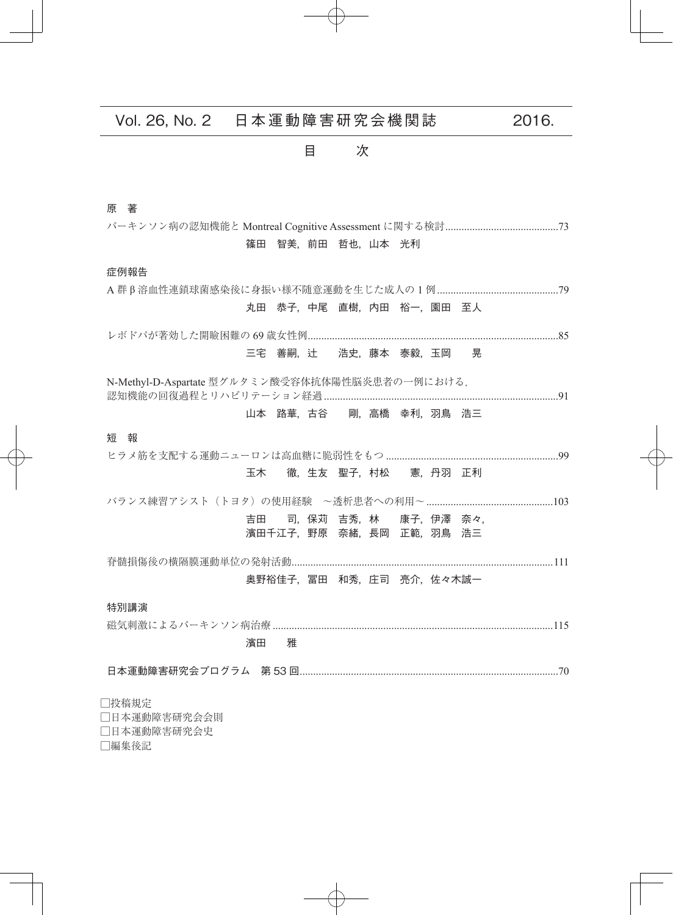# Vol. 26, No. 2 日本運動障害研究会機関誌 2016.

目 次

### 原 著

パーキンソン病の認知機能と Montreal Cognitive Assessment に関する検討..........................................73 篠田 智美,前田 哲也,山本 光利 症例報告 A 群 β 溶血性連鎖球菌感染後に身振い様不随意運動を生じた成人の 1 例.............................................79 丸田 恭子, 中尾 直樹, 内田 裕一, 園田 至人 レボドパが著効した開瞼困難の 69 歳女性例.............................................................................................85 三宅 善嗣, 辻 浩史, 藤本 泰毅, 玉岡 晃 N-Methyl-D-Aspartate 型グルタミン酸受容体抗体陽性脳炎患者の一例における, 認知機能の回復過程とリハビリテーション経過.......................................................................................91 山本 路華,古谷 剛,高橋 幸利,羽鳥 浩三 短 報 ヒラメ筋を支配する運動ニューロンは高血糖に脆弱性をもつ ................................................................99 玉木 徹,生友 聖子,村松 憲,丹羽 正利 バランス練習アシスト(トヨタ)の使用経験 ~透析患者への利用~...............................................103 吉田 司, 保苅 吉秀, 林 康子, 伊澤 奈々, 濱田千江子,野原 奈緒,長岡 正範,羽鳥 浩三 脊髄損傷後の横隔膜運動単位の発射活動.................................................................................................111 奥野裕佳子, 冨田 和秀, 庄司 亮介, 佐々木誠一 特別講演 磁気刺激によるパーキンソン病治療 ........................................................................................................115 濱田 雅 日本運動障害研究会プログラム 第 53 回................................................................................................70 □投稿規定

□日本運動障害研究会会則 □日本運動障害研究会史 □編集後記